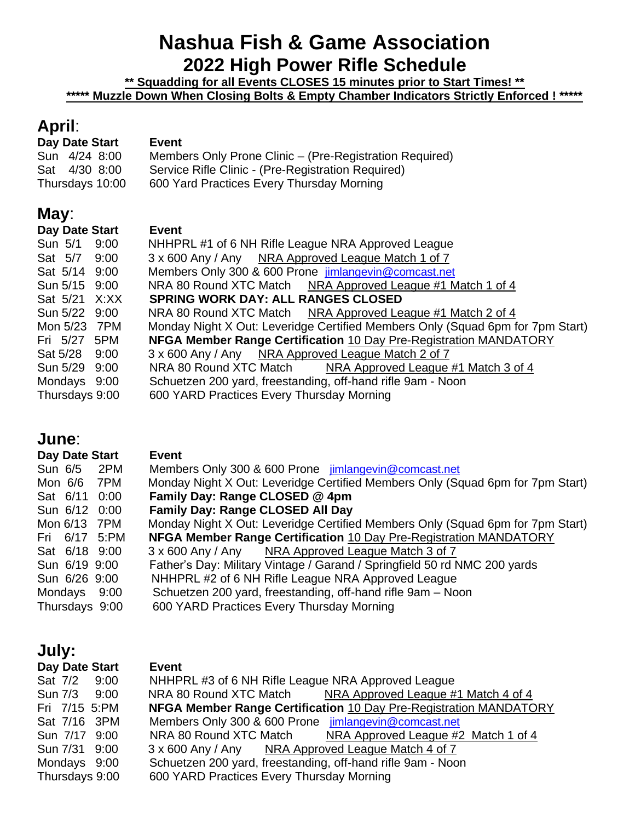# **Nashua Fish & Game Association 2022 High Power Rifle Schedule**

**\*\* Squadding for all Events CLOSES 15 minutes prior to Start Times! \*\* \*\*\*\*\* Muzzle Down When Closing Bolts & Empty Chamber Indicators Strictly Enforced ! \*\*\*\*\*** 

## **April**:

| Day Date Start  | Event                                                   |
|-----------------|---------------------------------------------------------|
| Sun 4/24 8:00   | Members Only Prone Clinic - (Pre-Registration Required) |
| Sat 4/30 8:00   | Service Rifle Clinic - (Pre-Registration Required)      |
| Thursdays 10:00 | 600 Yard Practices Every Thursday Morning               |

## **May**:

| Monday Night X Out: Leveridge Certified Members Only (Squad 6pm for 7pm Start) |
|--------------------------------------------------------------------------------|
|                                                                                |
|                                                                                |
|                                                                                |
|                                                                                |
|                                                                                |
|                                                                                |

## **June**:

| Day Date Start | <b>Event</b>                                                                   |
|----------------|--------------------------------------------------------------------------------|
| Sun 6/5 2PM    | Members Only 300 & 600 Prone jimlangevin@comcast.net                           |
| Mon 6/6 7PM    | Monday Night X Out: Leveridge Certified Members Only (Squad 6pm for 7pm Start) |
| Sat 6/11 0:00  | Family Day: Range CLOSED @ 4pm                                                 |
| Sun 6/12 0:00  | <b>Family Day: Range CLOSED All Day</b>                                        |
| Mon 6/13 7PM   | Monday Night X Out: Leveridge Certified Members Only (Squad 6pm for 7pm Start) |
| Fri 6/17 5:PM  | NFGA Member Range Certification 10 Day Pre-Registration MANDATORY              |
| Sat 6/18 9:00  | 3 x 600 Any / Any NRA Approved League Match 3 of 7                             |
| Sun 6/19 9:00  | Father's Day: Military Vintage / Garand / Springfield 50 rd NMC 200 yards      |
| Sun 6/26 9:00  | NHHPRL #2 of 6 NH Rifle League NRA Approved League                             |
| Mondays 9:00   | Schuetzen 200 yard, freestanding, off-hand rifle 9am - Noon                    |
| Thursdays 9:00 | 600 YARD Practices Every Thursday Morning                                      |

# **July:**

| Day Date Start | <b>Event</b>                                                             |
|----------------|--------------------------------------------------------------------------|
| Sat 7/2 9:00   | NHHPRL #3 of 6 NH Rifle League NRA Approved League                       |
| Sun 7/3 9:00   | NRA 80 Round XTC Match<br>NRA Approved League #1 Match 4 of 4            |
| Fri 7/15 5:PM  | <b>NFGA Member Range Certification 10 Day Pre-Registration MANDATORY</b> |
| Sat 7/16 3PM   | Members Only 300 & 600 Prone jimlangevin@comcast.net                     |
| Sun 7/17 9:00  | NRA 80 Round XTC Match NRA Approved League #2 Match 1 of 4               |
| Sun 7/31 9:00  | 3 x 600 Any / Any NRA Approved League Match 4 of 7                       |
| Mondays 9:00   | Schuetzen 200 yard, freestanding, off-hand rifle 9am - Noon              |
| Thursdays 9:00 | 600 YARD Practices Every Thursday Morning                                |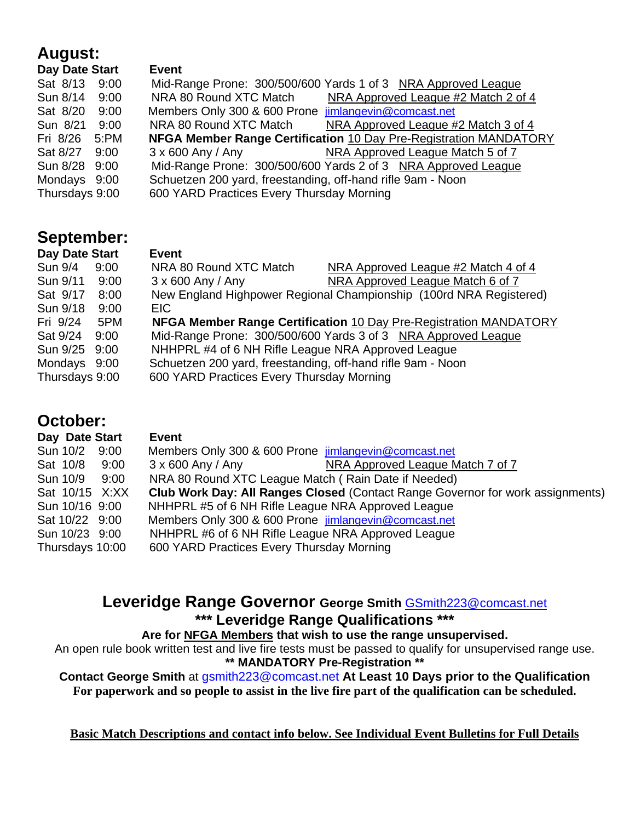## **August:**

| Day Date Start | <b>Event</b>                                                |                                                                   |
|----------------|-------------------------------------------------------------|-------------------------------------------------------------------|
| Sat 8/13 9:00  |                                                             | Mid-Range Prone: 300/500/600 Yards 1 of 3 NRA Approved League     |
| Sun 8/14 9:00  | NRA 80 Round XTC Match                                      | NRA Approved League #2 Match 2 of 4                               |
| Sat 8/20 9:00  | Members Only 300 & 600 Prone jimlangevin@comcast.net        |                                                                   |
| Sun 8/21 9:00  | NRA 80 Round XTC Match                                      | NRA Approved League #2 Match 3 of 4                               |
| Fri 8/26 5:PM  |                                                             | NFGA Member Range Certification 10 Day Pre-Registration MANDATORY |
| Sat 8/27 9:00  |                                                             | 3 x 600 Any / Any MRA Approved League Match 5 of 7                |
| Sun 8/28 9:00  |                                                             | Mid-Range Prone: 300/500/600 Yards 2 of 3 NRA Approved League     |
| Mondays 9:00   | Schuetzen 200 yard, freestanding, off-hand rifle 9am - Noon |                                                                   |
| Thursdays 9:00 | 600 YARD Practices Every Thursday Morning                   |                                                                   |

## **September:**

| Day Date Start |      | Event                                                              |                                                                   |
|----------------|------|--------------------------------------------------------------------|-------------------------------------------------------------------|
| Sun 9/4        | 9:00 | NRA 80 Round XTC Match                                             | NRA Approved League #2 Match 4 of 4                               |
| Sun 9/11       | 9:00 | $3 \times 600$ Any / Any                                           | NRA Approved League Match 6 of 7                                  |
| Sat 9/17       | 8:00 | New England Highpower Regional Championship (100rd NRA Registered) |                                                                   |
| Sun 9/18       | 9:00 | EIC.                                                               |                                                                   |
| Fri 9/24       | 5PM  |                                                                    | NFGA Member Range Certification 10 Day Pre-Registration MANDATORY |
| Sat 9/24 9:00  |      | Mid-Range Prone: 300/500/600 Yards 3 of 3 NRA Approved League      |                                                                   |
| Sun 9/25 9:00  |      | NHHPRL #4 of 6 NH Rifle League NRA Approved League                 |                                                                   |
| Mondays 9:00   |      | Schuetzen 200 yard, freestanding, off-hand rifle 9am - Noon        |                                                                   |
| Thursdays 9:00 |      | 600 YARD Practices Every Thursday Morning                          |                                                                   |

## **October:**

| Day Date Start  |      | Event                                                                          |
|-----------------|------|--------------------------------------------------------------------------------|
| Sun 10/2 9:00   |      | Members Only 300 & 600 Prone jimlangevin@comcast.net                           |
| Sat 10/8        | 9:00 | NRA Approved League Match 7 of 7<br>$3 \times 600$ Any / Any                   |
| Sun 10/9        | 9:00 | NRA 80 Round XTC League Match (Rain Date if Needed)                            |
| Sat 10/15 X:XX  |      | Club Work Day: All Ranges Closed (Contact Range Governor for work assignments) |
| Sun 10/16 9:00  |      | NHHPRL #5 of 6 NH Rifle League NRA Approved League                             |
| Sat 10/22 9:00  |      | Members Only 300 & 600 Prone jimlangevin@comcast.net                           |
| Sun 10/23 9:00  |      | NHHPRL #6 of 6 NH Rifle League NRA Approved League                             |
| Thursdays 10:00 |      | 600 YARD Practices Every Thursday Morning                                      |

## **Leveridge Range Governor George Smith** [GSmith223@comcast.net](mailto:GSmith223@comcast.net) **\*\*\* Leveridge Range Qualifications \*\*\***

### **Are for NFGA Members that wish to use the range unsupervised.**

An open rule book written test and live fire tests must be passed to qualify for unsupervised range use. **\*\* MANDATORY Pre-Registration \*\*** 

#### **Contact George Smith** at gsmith223@comcast.net **At Least 10 Days prior to the Qualification For paperwork and so people to assist in the live fire part of the qualification can be scheduled.**

**Basic Match Descriptions and contact info below. See Individual Event Bulletins for Full Details**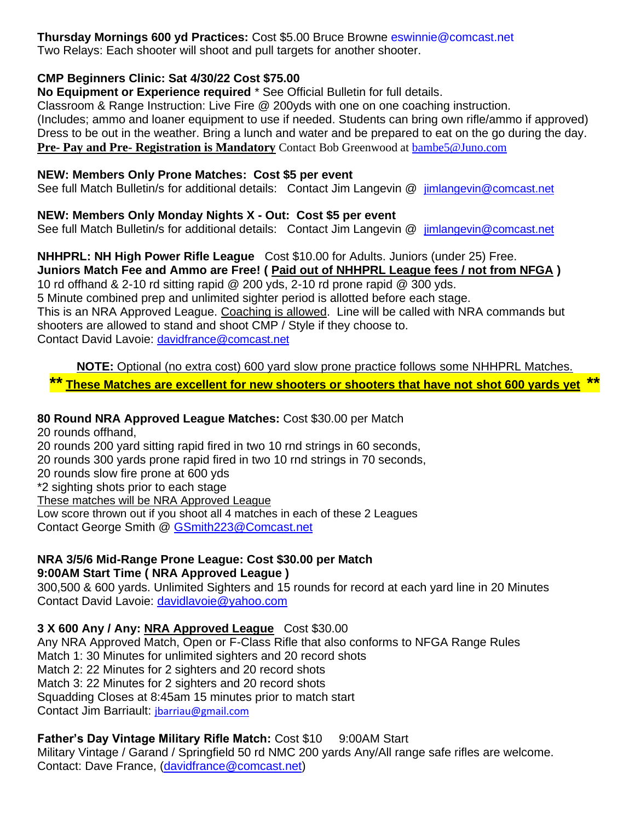**Thursday Mornings 600 yd Practices:** Cost \$5.00 Bruce Browne eswinnie@comcast.net Two Relays: Each shooter will shoot and pull targets for another shooter.

#### **CMP Beginners Clinic: Sat 4/30/22 Cost \$75.00**

**No Equipment or Experience required** \* See Official Bulletin for full details.

Classroom & Range Instruction: Live Fire @ 200yds with one on one coaching instruction. (Includes; ammo and loaner equipment to use if needed. Students can bring own rifle/ammo if approved) Dress to be out in the weather. Bring a lunch and water and be prepared to eat on the go during the day. **Pre- Pay and Pre- Registration is Mandatory** Contact Bob Greenwood at [bambe5@Juno.com](mailto:bambe5@Juno.com)

#### **NEW: Members Only Prone Matches: Cost \$5 per event**

See full Match Bulletin/s for additional details: Contact Jim Langevin @ [jimlangevin@comcast.net](mailto:jimlangevin@comcast.net)

#### **NEW: Members Only Monday Nights X - Out: Cost \$5 per event**

See full Match Bulletin/s for additional details: Contact Jim Langevin @ [jimlangevin@comcast.net](mailto:jimlangevin@comcast.net)

### **NHHPRL: NH High Power Rifle League** Cost \$10.00 for Adults. Juniors (under 25) Free.

**Juniors Match Fee and Ammo are Free! ( Paid out of NHHPRL League fees / not from NFGA )** 10 rd offhand & 2-10 rd sitting rapid @ 200 yds, 2-10 rd prone rapid @ 300 yds. 5 Minute combined prep and unlimited sighter period is allotted before each stage. This is an NRA Approved League. Coaching is allowed. Line will be called with NRA commands but shooters are allowed to stand and shoot CMP / Style if they choose to. Contact David Lavoie: [davidfrance@comcast.net](mailto:davidfrance@comcast.net)

**NOTE:** Optional (no extra cost) 600 yard slow prone practice follows some NHHPRL Matches.

**\*\* These Matches are excellent for new shooters or shooters that have not shot 600 yards yet \*\***

### **80 Round NRA Approved League Matches:** Cost \$30.00 per Match

20 rounds offhand,

20 rounds 200 yard sitting rapid fired in two 10 rnd strings in 60 seconds,

20 rounds 300 yards prone rapid fired in two 10 rnd strings in 70 seconds,

20 rounds slow fire prone at 600 yds

\*2 sighting shots prior to each stage

These matches will be NRA Approved League

Low score thrown out if you shoot all 4 matches in each of these 2 Leagues Contact George Smith @ [GSmith223@Comcast.net](mailto:GSmith223@Comcast.net)

#### **NRA 3/5/6 Mid-Range Prone League: Cost \$30.00 per Match 9:00AM Start Time ( NRA Approved League )**

300,500 & 600 yards. Unlimited Sighters and 15 rounds for record at each yard line in 20 Minutes Contact David Lavoie: [davidlavoie@yahoo.com](mailto:davidlavoie@yahoo.com)

### **3 X 600 Any / Any: NRA Approved League** Cost \$30.00

Any NRA Approved Match, Open or F-Class Rifle that also conforms to NFGA Range Rules Match 1: 30 Minutes for unlimited sighters and 20 record shots Match 2: 22 Minutes for 2 sighters and 20 record shots Match 3: 22 Minutes for 2 sighters and 20 record shots Squadding Closes at 8:45am 15 minutes prior to match start Contact Jim Barriault: [jbarriau@gmail.com](mailto:jbarriau@gmail.com)

### **Father's Day Vintage Military Rifle Match: Cost \$10 9:00AM Start** Military Vintage / Garand / Springfield 50 rd NMC 200 yards Any/All range safe rifles are welcome.

Contact: Dave France, [\(davidfrance@comcast.net\)](mailto:davidfrance@comcast.net)